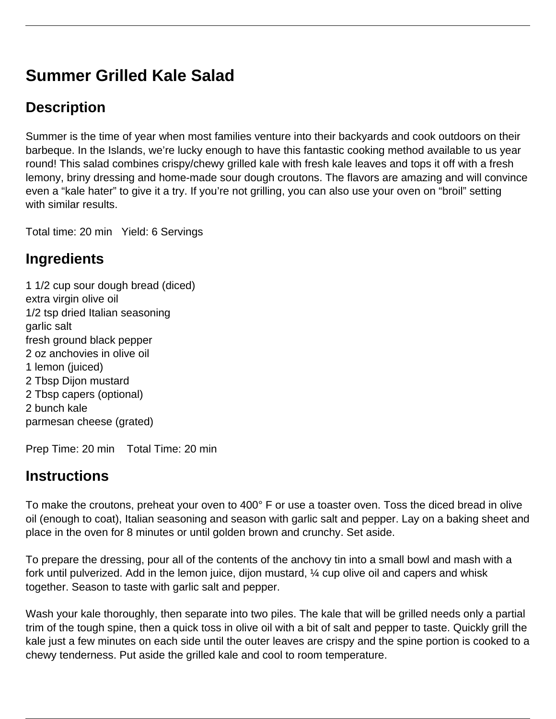# **Summer Grilled Kale Salad**

## **Description**

Summer is the time of year when most families venture into their backyards and cook outdoors on their barbeque. In the Islands, we're lucky enough to have this fantastic cooking method available to us year round! This salad combines crispy/chewy grilled kale with fresh kale leaves and tops it off with a fresh lemony, briny dressing and home-made sour dough croutons. The flavors are amazing and will convince even a "kale hater" to give it a try. If you're not grilling, you can also use your oven on "broil" setting with similar results.

Total time: 20 min Yield: 6 Servings

#### **Ingredients**

1 1/2 cup sour dough bread (diced) extra virgin olive oil 1/2 tsp dried Italian seasoning garlic salt fresh ground black pepper 2 oz anchovies in olive oil 1 lemon (juiced) 2 Tbsp Dijon mustard 2 Tbsp capers (optional) 2 bunch kale parmesan cheese (grated)

Prep Time: 20 min Total Time: 20 min

## **Instructions**

To make the croutons, preheat your oven to 400° F or use a toaster oven. Toss the diced bread in olive oil (enough to coat), Italian seasoning and season with garlic salt and pepper. Lay on a baking sheet and place in the oven for 8 minutes or until golden brown and crunchy. Set aside.

To prepare the dressing, pour all of the contents of the anchovy tin into a small bowl and mash with a fork until pulverized. Add in the lemon juice, dijon mustard, ¼ cup olive oil and capers and whisk together. Season to taste with garlic salt and pepper.

Wash your kale thoroughly, then separate into two piles. The kale that will be grilled needs only a partial trim of the tough spine, then a quick toss in olive oil with a bit of salt and pepper to taste. Quickly grill the kale just a few minutes on each side until the outer leaves are crispy and the spine portion is cooked to a chewy tenderness. Put aside the grilled kale and cool to room temperature.